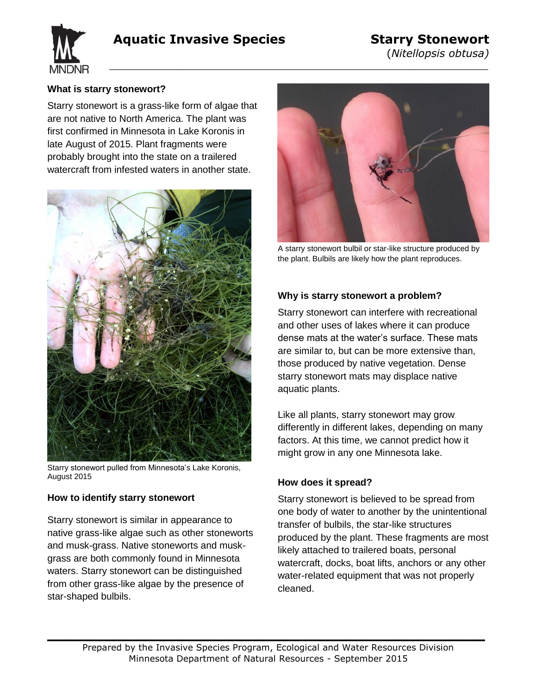# **Aquatic Invasive Species Starry Stonewort**

 $\overline{\phantom{a}}$  , and the contract of the contract of the contract of the contract of the contract of the contract of the contract of the contract of the contract of the contract of the contract of the contract of the contrac





## **What is starry stonewort?**

Starry stonewort is a grass-like form of algae that are not native to North America. The plant was first confirmed in Minnesota in Lake Koronis in late August of 2015. Plant fragments were probably brought into the state on a trailered watercraft from infested waters in another state.



Starry stonewort pulled from Minnesota's Lake Koronis, August 2015

## **How to identify starry stonewort**

Starry stonewort is similar in appearance to native grass-like algae such as other stoneworts and musk-grass. Native stoneworts and muskgrass are both commonly found in Minnesota waters. Starry stonewort can be distinguished from other grass-like algae by the presence of star-shaped bulbils.



A starry stonewort bulbil or star-like structure produced by the plant. Bulbils are likely how the plant reproduces.

### **Why is starry stonewort a problem?**

Starry stonewort can interfere with recreational and other uses of lakes where it can produce dense mats at the water's surface. These mats are similar to, but can be more extensive than, those produced by native vegetation. Dense starry stonewort mats may displace native aquatic plants.

Like all plants, starry stonewort may grow differently in different lakes, depending on many factors. At this time, we cannot predict how it might grow in any one Minnesota lake.

### **How does it spread?**

Starry stonewort is believed to be spread from one body of water to another by the unintentional transfer of bulbils, the star-like structures produced by the plant. These fragments are most likely attached to trailered boats, personal watercraft, docks, boat lifts, anchors or any other water-related equipment that was not properly cleaned.

**\_\_\_\_\_\_\_\_\_\_\_\_\_\_\_\_\_\_\_\_\_\_\_\_\_\_\_\_\_\_\_\_\_\_\_\_\_\_\_**